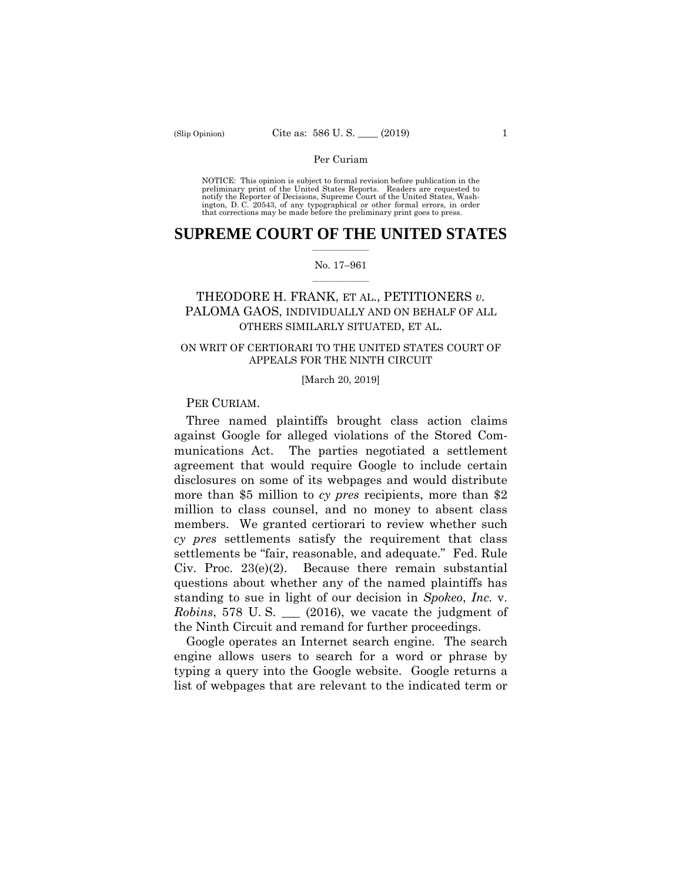preliminary print of the United States Reports. Readers are requested to notify the Reporter of Decisions, Supreme Court of the United States, Wash- ington, D. C. 20543, of any typographical or other formal errors, in order that corrections may be made before the preliminary print goes to press. NOTICE: This opinion is subject to formal revision before publication in the

# $\frac{1}{2}$  ,  $\frac{1}{2}$  ,  $\frac{1}{2}$  ,  $\frac{1}{2}$  ,  $\frac{1}{2}$  ,  $\frac{1}{2}$  ,  $\frac{1}{2}$ **SUPREME COURT OF THE UNITED STATES**

#### $\frac{1}{2}$  ,  $\frac{1}{2}$  ,  $\frac{1}{2}$  ,  $\frac{1}{2}$  ,  $\frac{1}{2}$  ,  $\frac{1}{2}$ No. 17–961

# THEODORE H. FRANK, ET AL., PETITIONERS *v.*  PALOMA GAOS, INDIVIDUALLY AND ON BEHALF OF ALL OTHERS SIMILARLY SITUATED, ET AL.

# ON WRIT OF CERTIORARI TO THE UNITED STATES COURT OF APPEALS FOR THE NINTH CIRCUIT

[March 20, 2019]

# PER CURIAM.

Three named plaintiffs brought class action claims against Google for alleged violations of the Stored Communications Act. The parties negotiated a settlement agreement that would require Google to include certain disclosures on some of its webpages and would distribute more than \$5 million to *cy pres* recipients, more than \$2 million to class counsel, and no money to absent class members. We granted certiorari to review whether such *cy pres* settlements satisfy the requirement that class settlements be "fair, reasonable, and adequate." Fed. Rule Civ. Proc. 23(e)(2). Because there remain substantial questions about whether any of the named plaintiffs has standing to sue in light of our decision in *Spokeo*, *Inc.* v. *Robins*, 578 U.S. (2016), we vacate the judgment of the Ninth Circuit and remand for further proceedings.

Google operates an Internet search engine. The search engine allows users to search for a word or phrase by typing a query into the Google website. Google returns a list of webpages that are relevant to the indicated term or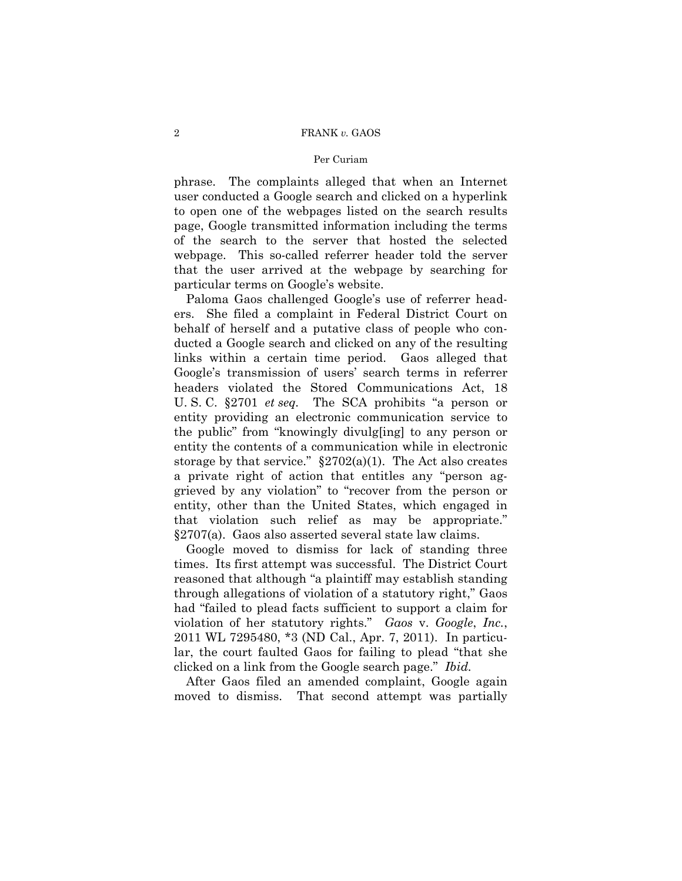### 2 FRANK *v.* GAOS

### Per Curiam

phrase. The complaints alleged that when an Internet user conducted a Google search and clicked on a hyperlink to open one of the webpages listed on the search results page, Google transmitted information including the terms of the search to the server that hosted the selected webpage. This so-called referrer header told the server that the user arrived at the webpage by searching for particular terms on Google's website.

Paloma Gaos challenged Google's use of referrer headers. She filed a complaint in Federal District Court on behalf of herself and a putative class of people who conducted a Google search and clicked on any of the resulting links within a certain time period. Gaos alleged that Google's transmission of users' search terms in referrer headers violated the Stored Communications Act, 18 U. S. C. §2701 *et seq.* The SCA prohibits "a person or entity providing an electronic communication service to the public" from "knowingly divulg[ing] to any person or entity the contents of a communication while in electronic storage by that service."  $\S 2702(a)(1)$ . The Act also creates a private right of action that entitles any "person aggrieved by any violation" to "recover from the person or entity, other than the United States, which engaged in that violation such relief as may be appropriate." §2707(a). Gaos also asserted several state law claims.

Google moved to dismiss for lack of standing three times. Its first attempt was successful. The District Court reasoned that although "a plaintiff may establish standing through allegations of violation of a statutory right," Gaos had "failed to plead facts sufficient to support a claim for violation of her statutory rights." *Gaos* v. *Google*, *Inc.*, 2011 WL 7295480, \*3 (ND Cal., Apr. 7, 2011). In particular, the court faulted Gaos for failing to plead "that she clicked on a link from the Google search page." *Ibid.* 

After Gaos filed an amended complaint, Google again moved to dismiss. That second attempt was partially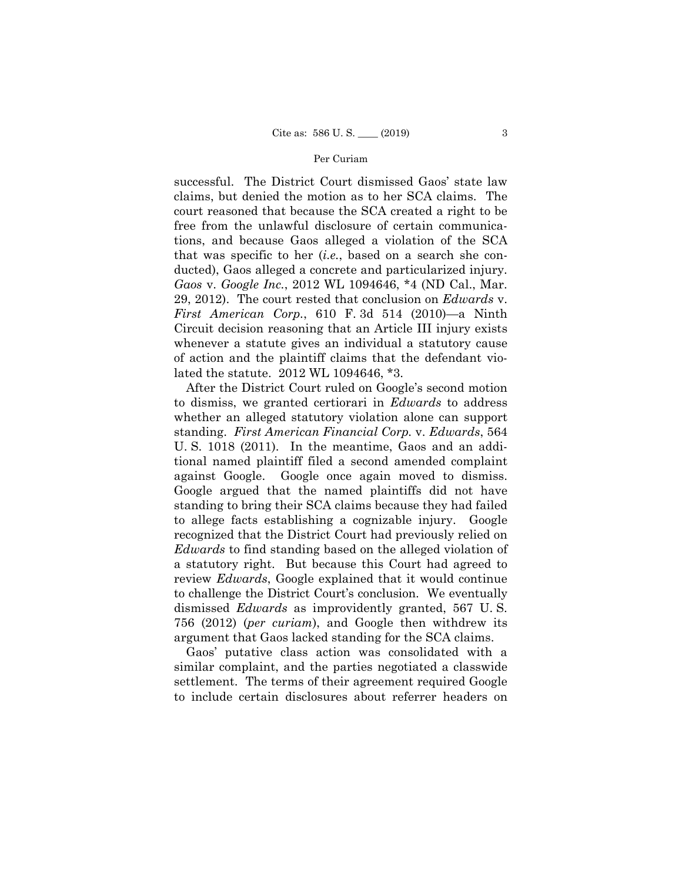successful. The District Court dismissed Gaos' state law claims, but denied the motion as to her SCA claims. The court reasoned that because the SCA created a right to be free from the unlawful disclosure of certain communications, and because Gaos alleged a violation of the SCA that was specific to her (*i.e.*, based on a search she conducted), Gaos alleged a concrete and particularized injury. *Gaos* v. *Google Inc.*, 2012 WL 1094646, \*4 (ND Cal., Mar. 29, 2012). The court rested that conclusion on *Edwards* v. *First American Corp.*, 610 F. 3d 514 (2010)—a Ninth Circuit decision reasoning that an Article III injury exists whenever a statute gives an individual a statutory cause of action and the plaintiff claims that the defendant violated the statute. 2012 WL 1094646, \*3.

 a statutory right. But because this Court had agreed to After the District Court ruled on Google's second motion to dismiss, we granted certiorari in *Edwards* to address whether an alleged statutory violation alone can support standing. *First American Financial Corp.* v. *Edwards*, 564 U. S. 1018 (2011). In the meantime, Gaos and an additional named plaintiff filed a second amended complaint against Google. Google once again moved to dismiss. Google argued that the named plaintiffs did not have standing to bring their SCA claims because they had failed to allege facts establishing a cognizable injury. Google recognized that the District Court had previously relied on *Edwards* to find standing based on the alleged violation of review *Edwards*, Google explained that it would continue to challenge the District Court's conclusion. We eventually dismissed *Edwards* as improvidently granted, 567 U. S. 756 (2012) (*per curiam*), and Google then withdrew its argument that Gaos lacked standing for the SCA claims.

Gaos' putative class action was consolidated with a similar complaint, and the parties negotiated a classwide settlement. The terms of their agreement required Google to include certain disclosures about referrer headers on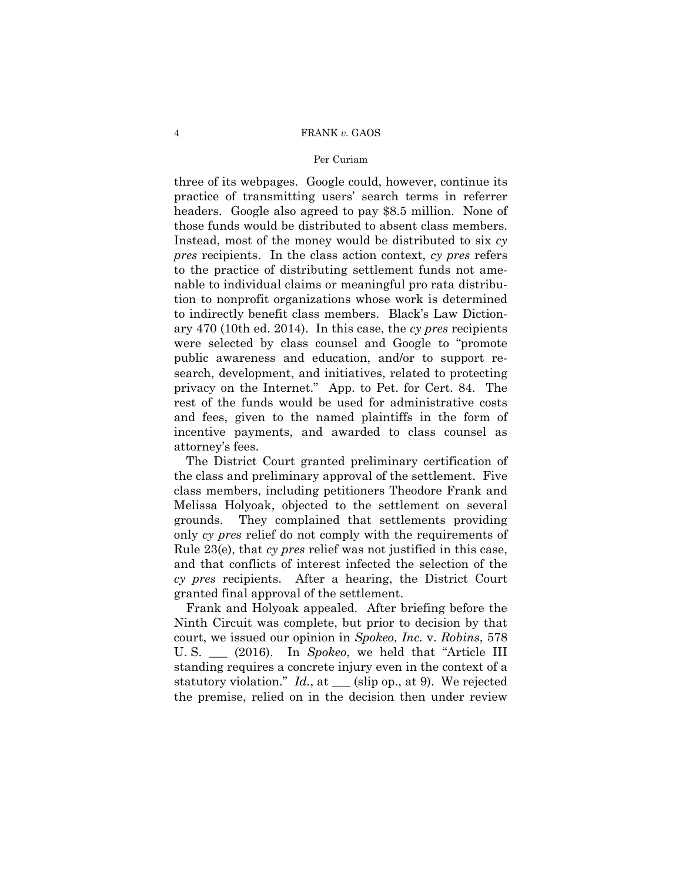## 4 FRANK *v.* GAOS

## Per Curiam

three of its webpages. Google could, however, continue its practice of transmitting users' search terms in referrer headers. Google also agreed to pay \$8.5 million. None of those funds would be distributed to absent class members. Instead, most of the money would be distributed to six *cy pres* recipients. In the class action context, *cy pres* refers to the practice of distributing settlement funds not amenable to individual claims or meaningful pro rata distribution to nonprofit organizations whose work is determined to indirectly benefit class members. Black's Law Dictionary 470 (10th ed. 2014). In this case, the *cy pres* recipients were selected by class counsel and Google to "promote public awareness and education, and/or to support research, development, and initiatives, related to protecting privacy on the Internet." App. to Pet. for Cert. 84. The rest of the funds would be used for administrative costs and fees, given to the named plaintiffs in the form of incentive payments, and awarded to class counsel as attorney's fees.

The District Court granted preliminary certification of the class and preliminary approval of the settlement. Five class members, including petitioners Theodore Frank and Melissa Holyoak, objected to the settlement on several grounds. They complained that settlements providing only *cy pres* relief do not comply with the requirements of Rule 23(e), that *cy pres* relief was not justified in this case, and that conflicts of interest infected the selection of the *cy pres* recipients. After a hearing, the District Court granted final approval of the settlement.

Frank and Holyoak appealed. After briefing before the Ninth Circuit was complete, but prior to decision by that court, we issued our opinion in *Spokeo*, *Inc.* v. *Robins*, 578 U. S. \_\_\_ (2016). In *Spokeo*, we held that "Article III standing requires a concrete injury even in the context of a statutory violation." *Id.*, at \_\_\_ (slip op., at 9). We rejected the premise, relied on in the decision then under review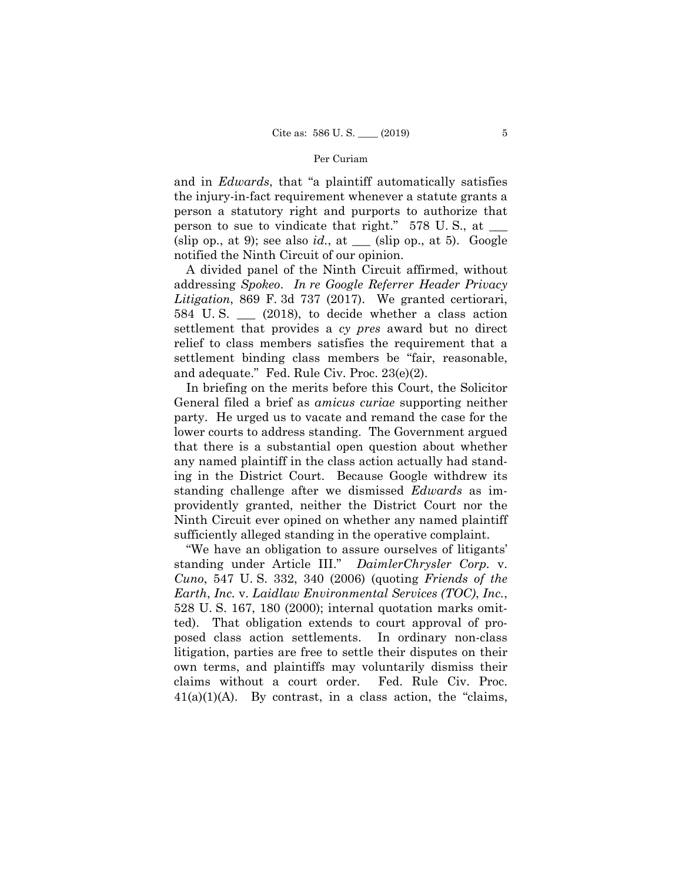and in *Edwards*, that "a plaintiff automatically satisfies the injury-in-fact requirement whenever a statute grants a person a statutory right and purports to authorize that person to sue to vindicate that right." 578 U.S., at (slip op., at 9); see also  $id.$ , at  $\Box$  (slip op., at 5). Google notified the Ninth Circuit of our opinion.

A divided panel of the Ninth Circuit affirmed, without addressing *Spokeo*. *In re Google Referrer Header Privacy Litigation*, 869 F. 3d 737 (2017). We granted certiorari, 584 U. S. \_\_\_ (2018), to decide whether a class action settlement that provides a *cy pres* award but no direct relief to class members satisfies the requirement that a settlement binding class members be "fair, reasonable, and adequate." Fed. Rule Civ. Proc. 23(e)(2).

In briefing on the merits before this Court, the Solicitor General filed a brief as *amicus curiae* supporting neither party. He urged us to vacate and remand the case for the lower courts to address standing. The Government argued that there is a substantial open question about whether any named plaintiff in the class action actually had standing in the District Court. Because Google withdrew its standing challenge after we dismissed *Edwards* as improvidently granted, neither the District Court nor the Ninth Circuit ever opined on whether any named plaintiff sufficiently alleged standing in the operative complaint.

"We have an obligation to assure ourselves of litigants' standing under Article III." *DaimlerChrysler Corp.* v. *Cuno*, 547 U. S. 332, 340 (2006) (quoting *Friends of the Earth*, *Inc.* v. *Laidlaw Environmental Services (TOC)*, *Inc.*, 528 U. S. 167, 180 (2000); internal quotation marks omitted). That obligation extends to court approval of proposed class action settlements. In ordinary non-class litigation, parties are free to settle their disputes on their own terms, and plaintiffs may voluntarily dismiss their claims without a court order. Fed. Rule Civ. Proc.  $41(a)(1)(A)$ . By contrast, in a class action, the "claims,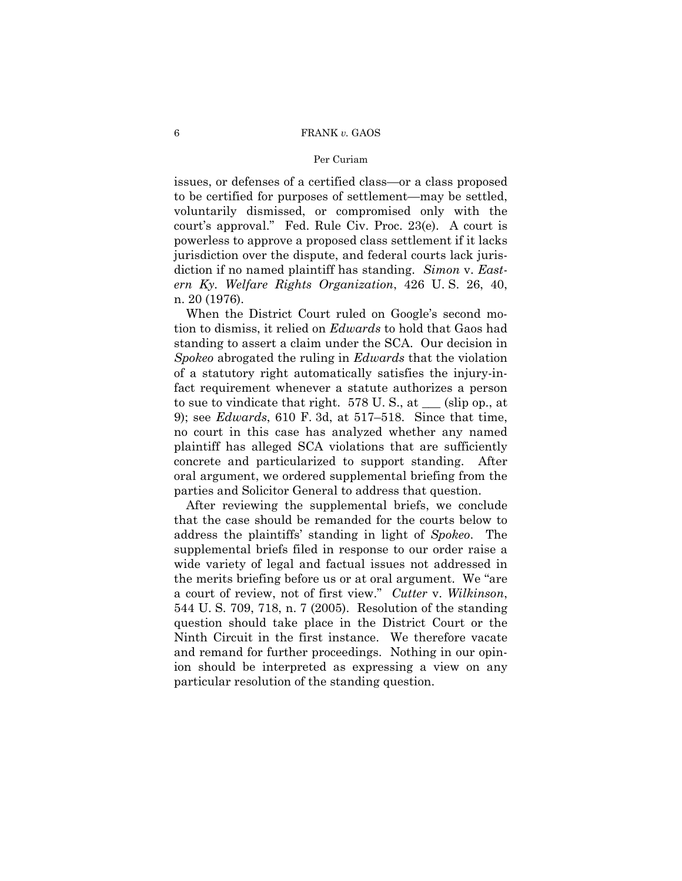issues, or defenses of a certified class—or a class proposed to be certified for purposes of settlement—may be settled, voluntarily dismissed, or compromised only with the court's approval." Fed. Rule Civ. Proc. 23(e). A court is powerless to approve a proposed class settlement if it lacks jurisdiction over the dispute, and federal courts lack jurisdiction if no named plaintiff has standing. *Simon* v. *Eastern Ky. Welfare Rights Organization*, 426 U. S. 26, 40, n. 20 (1976).

When the District Court ruled on Google's second motion to dismiss, it relied on *Edwards* to hold that Gaos had standing to assert a claim under the SCA. Our decision in *Spokeo* abrogated the ruling in *Edwards* that the violation of a statutory right automatically satisfies the injury-infact requirement whenever a statute authorizes a person to sue to vindicate that right. 578 U. S., at \_\_\_ (slip op., at 9); see *Edwards*, 610 F. 3d, at 517–518. Since that time, no court in this case has analyzed whether any named plaintiff has alleged SCA violations that are sufficiently concrete and particularized to support standing. After oral argument, we ordered supplemental briefing from the parties and Solicitor General to address that question.

After reviewing the supplemental briefs, we conclude that the case should be remanded for the courts below to address the plaintiffs' standing in light of *Spokeo*. The supplemental briefs filed in response to our order raise a wide variety of legal and factual issues not addressed in the merits briefing before us or at oral argument. We "are a court of review, not of first view." *Cutter* v. *Wilkinson*, 544 U. S. 709, 718, n. 7 (2005). Resolution of the standing question should take place in the District Court or the Ninth Circuit in the first instance. We therefore vacate and remand for further proceedings. Nothing in our opinion should be interpreted as expressing a view on any particular resolution of the standing question.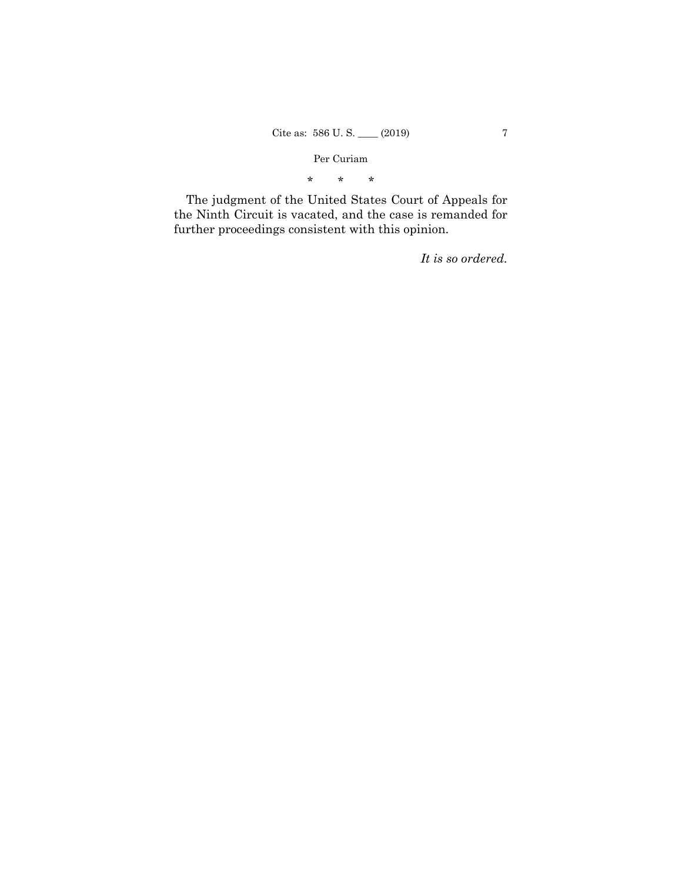\* \* \*

The judgment of the United States Court of Appeals for the Ninth Circuit is vacated, and the case is remanded for further proceedings consistent with this opinion.

*It is so ordered.*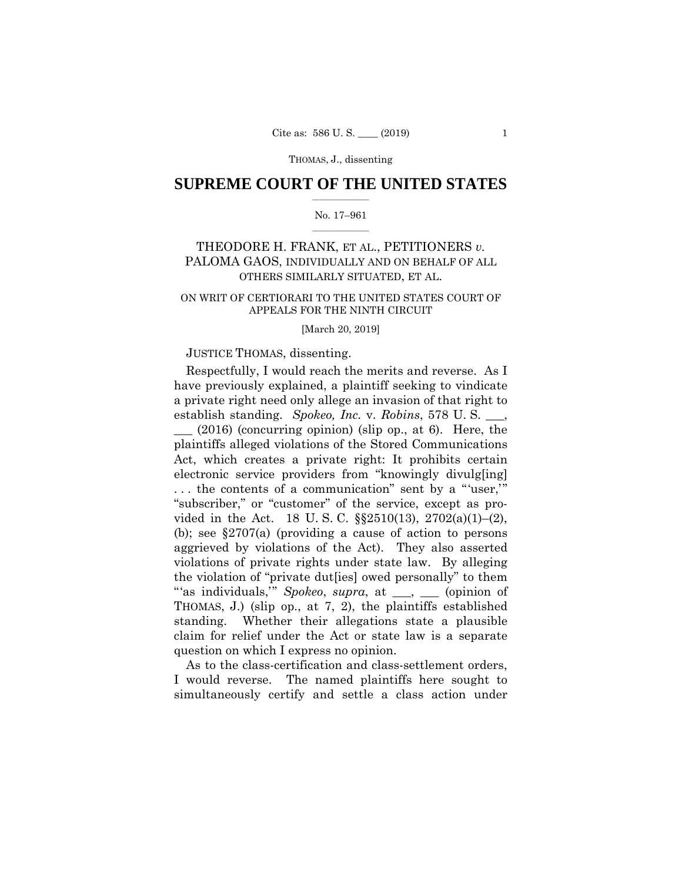THOMAS, J., dissenting

# $\frac{1}{2}$  ,  $\frac{1}{2}$  ,  $\frac{1}{2}$  ,  $\frac{1}{2}$  ,  $\frac{1}{2}$  ,  $\frac{1}{2}$  ,  $\frac{1}{2}$ **SUPREME COURT OF THE UNITED STATES**

#### $\frac{1}{2}$  ,  $\frac{1}{2}$  ,  $\frac{1}{2}$  ,  $\frac{1}{2}$  ,  $\frac{1}{2}$  ,  $\frac{1}{2}$ No. 17–961

# THEODORE H. FRANK, ET AL., PETITIONERS *v.*  PALOMA GAOS, INDIVIDUALLY AND ON BEHALF OF ALL OTHERS SIMILARLY SITUATED, ET AL.

## ON WRIT OF CERTIORARI TO THE UNITED STATES COURT OF APPEALS FOR THE NINTH CIRCUIT

#### [March 20, 2019]

## JUSTICE THOMAS, dissenting.

Respectfully, I would reach the merits and reverse. As I have previously explained, a plaintiff seeking to vindicate a private right need only allege an invasion of that right to establish standing. *Spokeo, Inc.* v. *Robins*, 578 U. S. \_\_\_, \_\_\_ (2016) (concurring opinion) (slip op., at 6). Here, the plaintiffs alleged violations of the Stored Communications Act, which creates a private right: It prohibits certain electronic service providers from "knowingly divulg[ing] . . . the contents of a communication" sent by a "'user,'" "subscriber," or "customer" of the service, except as provided in the Act. 18 U. S. C. §§2510(13), 2702(a)(1)–(2), (b); see §2707(a) (providing a cause of action to persons aggrieved by violations of the Act). They also asserted violations of private rights under state law. By alleging the violation of "private dut[ies] owed personally" to them "'as individuals,'" *Spokeo*, *supra*, at \_\_\_, \_\_\_ (opinion of THOMAS, J.) (slip op., at 7, 2), the plaintiffs established standing. Whether their allegations state a plausible claim for relief under the Act or state law is a separate question on which I express no opinion.

As to the class-certification and class-settlement orders, I would reverse. The named plaintiffs here sought to simultaneously certify and settle a class action under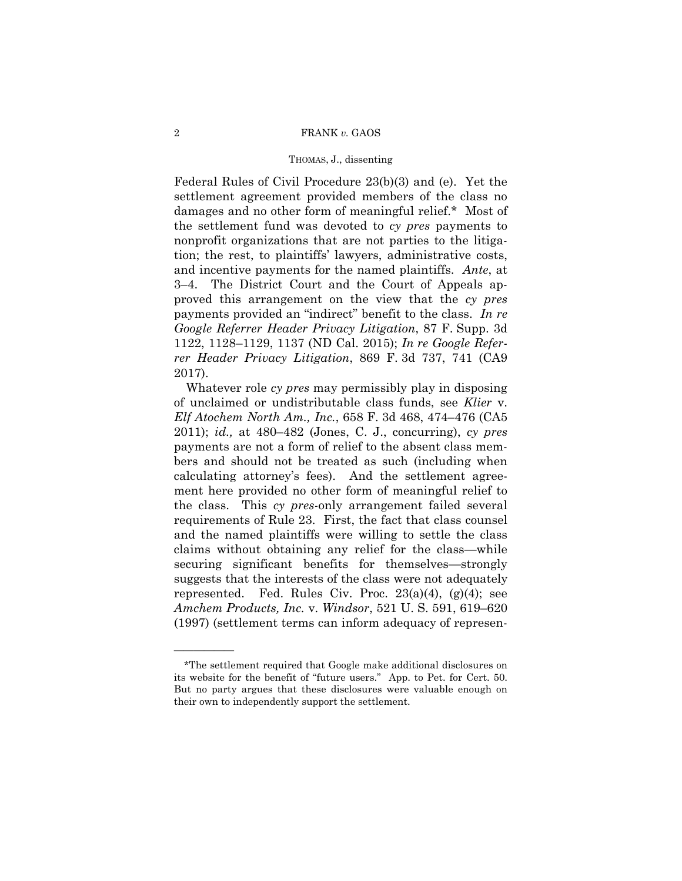#### THOMAS, J., dissenting

Federal Rules of Civil Procedure 23(b)(3) and (e). Yet the settlement agreement provided members of the class no damages and no other form of meaningful relief.\* Most of the settlement fund was devoted to *cy pres* payments to nonprofit organizations that are not parties to the litigation; the rest, to plaintiffs' lawyers, administrative costs, and incentive payments for the named plaintiffs. *Ante*, at 3–4. The District Court and the Court of Appeals approved this arrangement on the view that the *cy pres* payments provided an "indirect" benefit to the class. *In re Google Referrer Header Privacy Litigation*, 87 F. Supp. 3d 1122, 1128–1129, 1137 (ND Cal. 2015); *In re Google Referrer Header Privacy Litigation*, 869 F. 3d 737, 741 (CA9 2017).

 Whatever role *cy pres* may permissibly play in disposing of unclaimed or undistributable class funds, see *Klier* v. *Elf Atochem North Am., Inc.*, 658 F. 3d 468, 474–476 (CA5 2011); *id.,* at 480–482 (Jones, C. J., concurring), *cy pres* payments are not a form of relief to the absent class members and should not be treated as such (including when calculating attorney's fees). And the settlement agreement here provided no other form of meaningful relief to the class. This *cy pres*-only arrangement failed several requirements of Rule 23. First, the fact that class counsel and the named plaintiffs were willing to settle the class claims without obtaining any relief for the class—while securing significant benefits for themselves—strongly suggests that the interests of the class were not adequately represented. Fed. Rules Civ. Proc.  $23(a)(4)$ ,  $(g)(4)$ ; see *Amchem Products, Inc.* v. *Windsor*, 521 U. S. 591, 619–620 (1997) (settlement terms can inform adequacy of represen-

——————

<sup>\*</sup>The settlement required that Google make additional disclosures on its website for the benefit of "future users." App. to Pet. for Cert. 50. But no party argues that these disclosures were valuable enough on their own to independently support the settlement.